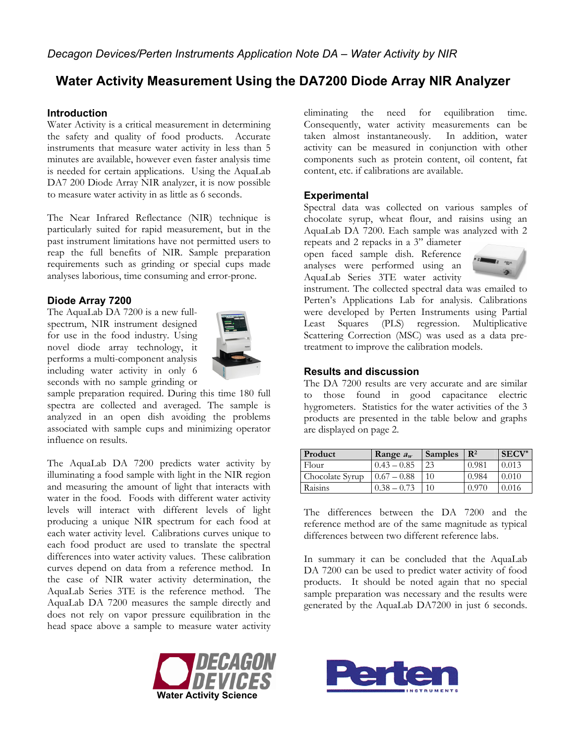# **Water Activity Measurement Using the DA7200 Diode Array NIR Analyzer**

## **Introduction**

Water Activity is a critical measurement in determining the safety and quality of food products. Accurate instruments that measure water activity in less than 5 minutes are available, however even faster analysis time is needed for certain applications. Using the AquaLab DA7 200 Diode Array NIR analyzer, it is now possible to measure water activity in as little as 6 seconds.

The Near Infrared Reflectance (NIR) technique is particularly suited for rapid measurement, but in the past instrument limitations have not permitted users to reap the full benefits of NIR. Sample preparation requirements such as grinding or special cups made analyses laborious, time consuming and error-prone.

## **Diode Array 7200**

The AquaLab DA 7200 is a new fullspectrum, NIR instrument designed for use in the food industry. Using novel diode array technology, it performs a multi-component analysis including water activity in only 6 seconds with no sample grinding or



sample preparation required. During this time 180 full spectra are collected and averaged. The sample is analyzed in an open dish avoiding the problems associated with sample cups and minimizing operator influence on results.

The AquaLab DA 7200 predicts water activity by illuminating a food sample with light in the NIR region and measuring the amount of light that interacts with water in the food. Foods with different water activity levels will interact with different levels of light producing a unique NIR spectrum for each food at each water activity level. Calibrations curves unique to each food product are used to translate the spectral differences into water activity values. These calibration curves depend on data from a reference method. In the case of NIR water activity determination, the AquaLab Series 3TE is the reference method. The AquaLab DA 7200 measures the sample directly and does not rely on vapor pressure equilibration in the head space above a sample to measure water activity



eliminating the need for equilibration time. Consequently, water activity measurements can be taken almost instantaneously. In addition, water activity can be measured in conjunction with other components such as protein content, oil content, fat content, etc. if calibrations are available.

## **Experimental**

Spectral data was collected on various samples of chocolate syrup, wheat flour, and raisins using an AquaLab DA 7200. Each sample was analyzed with 2 repeats and 2 repacks in a 3" diameter

open faced sample dish. Reference analyses were performed using an AquaLab Series 3TE water activity



instrument. The collected spectral data was emailed to Perten's Applications Lab for analysis. Calibrations were developed by Perten Instruments using Partial Least Squares (PLS) regression. Multiplicative Scattering Correction (MSC) was used as a data pretreatment to improve the calibration models.

#### **Results and discussion**

The DA 7200 results are very accurate and are similar to those found in good capacitance electric hygrometers. Statistics for the water activities of the 3 products are presented in the table below and graphs are displayed on page 2.

| Product         | Range $a_w$   | Samples        | $\mathbf{R}^2$ | $SECV^*$ |
|-----------------|---------------|----------------|----------------|----------|
| Flour           | $0.43 - 0.85$ | 23             | 0.981          | 0.013    |
| Chocolate Syrup | $0.67 - 0.88$ |                | 0.984          | 0.010    |
| Raisins         | $0.38 - 0.73$ | 1 <sub>0</sub> | O 970          | 0.016    |

The differences between the DA 7200 and the reference method are of the same magnitude as typical differences between two different reference labs.

In summary it can be concluded that the AquaLab DA 7200 can be used to predict water activity of food products. It should be noted again that no special sample preparation was necessary and the results were generated by the AquaLab DA7200 in just 6 seconds.